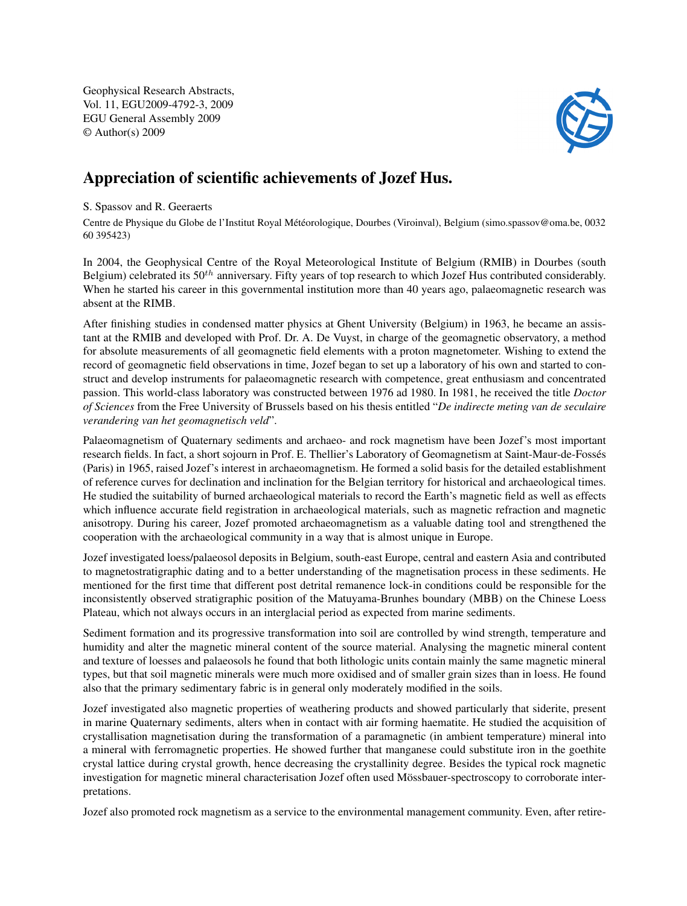Geophysical Research Abstracts, Vol. 11, EGU2009-4792-3, 2009 EGU General Assembly 2009 © Author(s) 2009



## Appreciation of scientific achievements of Jozef Hus.

## S. Spassov and R. Geeraerts

Centre de Physique du Globe de l'Institut Royal Météorologique, Dourbes (Viroinval), Belgium (simo.spassov@oma.be, 0032 60 395423)

In 2004, the Geophysical Centre of the Royal Meteorological Institute of Belgium (RMIB) in Dourbes (south Belgium) celebrated its  $50<sup>th</sup>$  anniversary. Fifty years of top research to which Jozef Hus contributed considerably. When he started his career in this governmental institution more than 40 years ago, palaeomagnetic research was absent at the RIMB.

After finishing studies in condensed matter physics at Ghent University (Belgium) in 1963, he became an assistant at the RMIB and developed with Prof. Dr. A. De Vuyst, in charge of the geomagnetic observatory, a method for absolute measurements of all geomagnetic field elements with a proton magnetometer. Wishing to extend the record of geomagnetic field observations in time, Jozef began to set up a laboratory of his own and started to construct and develop instruments for palaeomagnetic research with competence, great enthusiasm and concentrated passion. This world-class laboratory was constructed between 1976 ad 1980. In 1981, he received the title *Doctor of Sciences* from the Free University of Brussels based on his thesis entitled "*De indirecte meting van de seculaire verandering van het geomagnetisch veld*".

Palaeomagnetism of Quaternary sediments and archaeo- and rock magnetism have been Jozef's most important research fields. In fact, a short sojourn in Prof. E. Thellier's Laboratory of Geomagnetism at Saint-Maur-de-Fossés (Paris) in 1965, raised Jozef's interest in archaeomagnetism. He formed a solid basis for the detailed establishment of reference curves for declination and inclination for the Belgian territory for historical and archaeological times. He studied the suitability of burned archaeological materials to record the Earth's magnetic field as well as effects which influence accurate field registration in archaeological materials, such as magnetic refraction and magnetic anisotropy. During his career, Jozef promoted archaeomagnetism as a valuable dating tool and strengthened the cooperation with the archaeological community in a way that is almost unique in Europe.

Jozef investigated loess/palaeosol deposits in Belgium, south-east Europe, central and eastern Asia and contributed to magnetostratigraphic dating and to a better understanding of the magnetisation process in these sediments. He mentioned for the first time that different post detrital remanence lock-in conditions could be responsible for the inconsistently observed stratigraphic position of the Matuyama-Brunhes boundary (MBB) on the Chinese Loess Plateau, which not always occurs in an interglacial period as expected from marine sediments.

Sediment formation and its progressive transformation into soil are controlled by wind strength, temperature and humidity and alter the magnetic mineral content of the source material. Analysing the magnetic mineral content and texture of loesses and palaeosols he found that both lithologic units contain mainly the same magnetic mineral types, but that soil magnetic minerals were much more oxidised and of smaller grain sizes than in loess. He found also that the primary sedimentary fabric is in general only moderately modified in the soils.

Jozef investigated also magnetic properties of weathering products and showed particularly that siderite, present in marine Quaternary sediments, alters when in contact with air forming haematite. He studied the acquisition of crystallisation magnetisation during the transformation of a paramagnetic (in ambient temperature) mineral into a mineral with ferromagnetic properties. He showed further that manganese could substitute iron in the goethite crystal lattice during crystal growth, hence decreasing the crystallinity degree. Besides the typical rock magnetic investigation for magnetic mineral characterisation Jozef often used Mössbauer-spectroscopy to corroborate interpretations.

Jozef also promoted rock magnetism as a service to the environmental management community. Even, after retire-